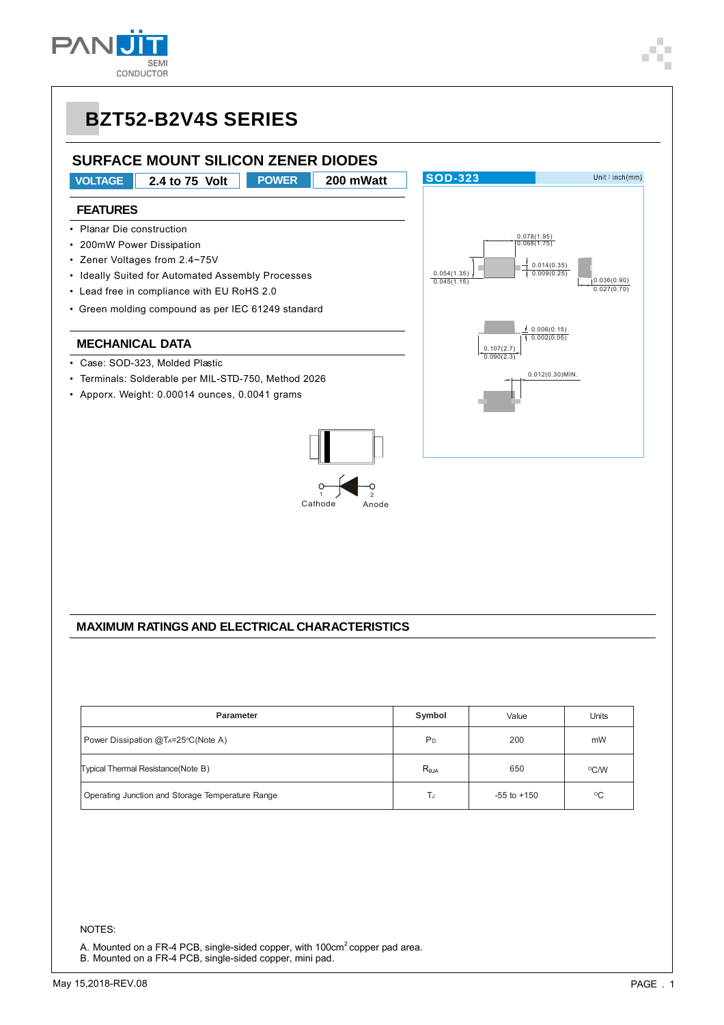

# **BZT52-B2V4S SERIES**

### **SURFACE MOUNT SILICON ZENER DIODES**

**VOLTAGE 2.4 to 75 Volt POWER 200 mWatt**

#### **FEATURES**

- Planar Die construction
- 200mW Power Dissipation
- Zener Voltages from 2.4~75V
- Ideally Suited for Automated Assembly Processes
- Lead free in compliance with EU RoHS 2.0
- Green molding compound as per IEC 61249 standard

#### **MECHANICAL DATA**

- Case: SOD-323, Molded Plastic
- Terminals: Solderable per MIL-STD-750, Method 2026
- Apporx. Weight: 0.00014 ounces, 0.0041 grams





#### **MAXIMUM RATINGS AND ELECTRICAL CHARACTERISTICS**

| <b>Parameter</b>                                 | Symbol          | Value           | Units              |
|--------------------------------------------------|-----------------|-----------------|--------------------|
| Power Dissipation @TA=25°C(Note A)               | P <sub>D</sub>  | 200             | mW                 |
| Typical Thermal Resistance (Note B)              | $R_{\theta JA}$ | 650             | $\rm ^{\circ}$ C/W |
| Operating Junction and Storage Temperature Range | TJ              | $-55$ to $+150$ | $^{\circ}$ C       |

NOTES:

A. Mounted on a FR-4 PCB, single-sided copper, with 100cm<sup>2</sup> copper pad area.

B. Mounted on a FR-4 PCB, single-sided copper, mini pad.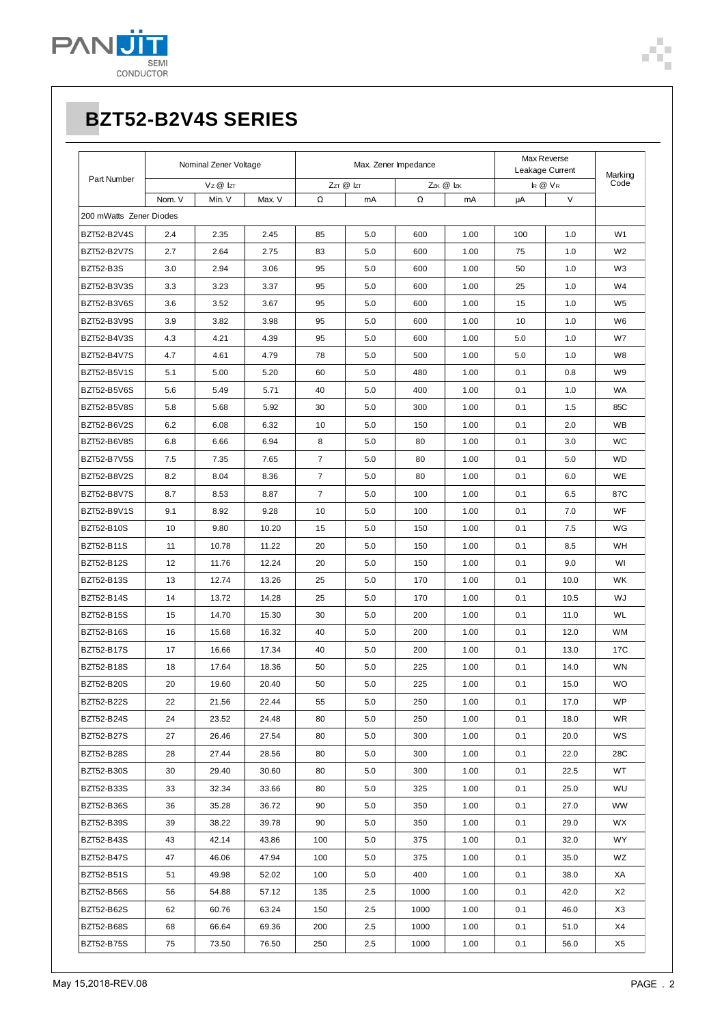

# **BZT52-B2V4S SERIES**

| Part Number             | Nominal Zener Voltage |                 | Max. Zener Impedance |                |           |      | Max Reverse<br>Leakage Current |     | Marking |                |
|-------------------------|-----------------------|-----------------|----------------------|----------------|-----------|------|--------------------------------|-----|---------|----------------|
|                         |                       | $Vz \otimes Iz$ |                      |                | ZzT @ IzT |      | Zzk @ Izk                      |     | IR @ VR | Code           |
|                         | Nom. V                | Min. V          | Max. V               | Ω              | mA        | Ω    | mA                             | μA  | V       |                |
| 200 mWatts Zener Diodes |                       |                 |                      |                |           |      |                                |     |         |                |
| <b>BZT52-B2V4S</b>      | 2.4                   | 2.35            | 2.45                 | 85             | 5.0       | 600  | 1.00                           | 100 | 1.0     | W1             |
| <b>BZT52-B2V7S</b>      | 2.7                   | 2.64            | 2.75                 | 83             | 5.0       | 600  | 1.00                           | 75  | 1.0     | W <sub>2</sub> |
| <b>BZT52-B3S</b>        | 3.0                   | 2.94            | 3.06                 | 95             | 5.0       | 600  | 1.00                           | 50  | 1.0     | W3             |
| BZT52-B3V3S             | 3.3                   | 3.23            | 3.37                 | 95             | 5.0       | 600  | 1.00                           | 25  | 1.0     | W4             |
| BZT52-B3V6S             | 3.6                   | 3.52            | 3.67                 | 95             | 5.0       | 600  | 1.00                           | 15  | 1.0     | W <sub>5</sub> |
| BZT52-B3V9S             | 3.9                   | 3.82            | 3.98                 | 95             | 5.0       | 600  | 1.00                           | 10  | 1.0     | W6             |
| BZT52-B4V3S             | 4.3                   | 4.21            | 4.39                 | 95             | 5.0       | 600  | 1.00                           | 5.0 | 1.0     | W7             |
| BZT52-B4V7S             | 4.7                   | 4.61            | 4.79                 | 78             | 5.0       | 500  | 1.00                           | 5.0 | 1.0     | W8             |
| BZT52-B5V1S             | 5.1                   | 5.00            | 5.20                 | 60             | 5.0       | 480  | 1.00                           | 0.1 | 0.8     | W <sub>9</sub> |
| <b>BZT52-B5V6S</b>      | 5.6                   | 5.49            | 5.71                 | 40             | 5.0       | 400  | 1.00                           | 0.1 | 1.0     | WA             |
| <b>BZT52-B5V8S</b>      | 5.8                   | 5.68            | 5.92                 | 30             | 5.0       | 300  | 1.00                           | 0.1 | 1.5     | 85C            |
| BZT52-B6V2S             | 6.2                   | 6.08            | 6.32                 | 10             | 5.0       | 150  | 1.00                           | 0.1 | 2.0     | WB             |
| BZT52-B6V8S             | 6.8                   | 6.66            | 6.94                 | 8              | 5.0       | 80   | 1.00                           | 0.1 | 3.0     | <b>WC</b>      |
| <b>BZT52-B7V5S</b>      | 7.5                   | 7.35            | 7.65                 | $\overline{7}$ | 5.0       | 80   | 1.00                           | 0.1 | 5.0     | <b>WD</b>      |
| BZT52-B8V2S             | 8.2                   | 8.04            | 8.36                 | $\overline{7}$ | 5.0       | 80   | 1.00                           | 0.1 | 6.0     | WE             |
| <b>BZT52-B8V7S</b>      | 8.7                   | 8.53            | 8.87                 | $\overline{7}$ | 5.0       | 100  | 1.00                           | 0.1 | 6.5     | 87C            |
| BZT52-B9V1S             | 9.1                   | 8.92            | 9.28                 | 10             | 5.0       | 100  | 1.00                           | 0.1 | 7.0     | <b>WF</b>      |
| <b>BZT52-B10S</b>       | 10                    | 9.80            | 10.20                | 15             | 5.0       | 150  | 1.00                           | 0.1 | 7.5     | WG             |
| <b>BZT52-B11S</b>       | 11                    | 10.78           | 11.22                | 20             | 5.0       | 150  | 1.00                           | 0.1 | 8.5     | WH             |
| BZT52-B12S              | 12                    | 11.76           | 12.24                | 20             | 5.0       | 150  | 1.00                           | 0.1 | 9.0     | WI             |
| <b>BZT52-B13S</b>       | 13                    | 12.74           | 13.26                | 25             | 5.0       | 170  | 1.00                           | 0.1 | 10.0    | <b>WK</b>      |
| <b>BZT52-B14S</b>       | 14                    | 13.72           | 14.28                | 25             | 5.0       | 170  | 1.00                           | 0.1 | 10.5    | WJ             |
| <b>BZT52-B15S</b>       | 15                    | 14.70           | 15.30                | 30             | 5.0       | 200  | 1.00                           | 0.1 | 11.0    | WL             |
| BZT52-B16S              | 16                    | 15.68           | 16.32                | 40             | 5.0       | 200  | 1.00                           | 0.1 | 12.0    | <b>WM</b>      |
| <b>BZT52-B17S</b>       | 17                    | 16.66           | 17.34                | 40             | 5.0       | 200  | 1.00                           | 0.1 | 13.0    | 17C            |
| <b>BZT52-B18S</b>       | 18                    | 17.64           | 18.36                | 50             | 5.0       | 225  | 1.00                           | 0.1 | 14.0    | WN             |
| <b>BZT52-B20S</b>       | 20                    | 19.60           | 20.40                | 50             | 5.0       | 225  | 1.00                           | 0.1 | 15.0    | <b>WO</b>      |
| <b>BZT52-B22S</b>       | 22                    | 21.56           | 22.44                | 55             | 5.0       | 250  | 1.00                           | 0.1 | 17.0    | WP             |
| BZT52-B24S              | 24                    | 23.52           | 24.48                | 80             | 5.0       | 250  | 1.00                           | 0.1 | 18.0    | <b>WR</b>      |
| <b>BZT52-B27S</b>       | 27                    | 26.46           | 27.54                | 80             | 5.0       | 300  | 1.00                           | 0.1 | 20.0    | WS             |
| <b>BZT52-B28S</b>       | 28                    | 27.44           | 28.56                | 80             | 5.0       | 300  | 1.00                           | 0.1 | 22.0    | 28C            |
| <b>BZT52-B30S</b>       | 30                    | 29.40           | 30.60                | 80             | 5.0       | 300  | 1.00                           | 0.1 | 22.5    | WT             |
| BZT52-B33S              | 33                    | 32.34           | 33.66                | 80             | 5.0       | 325  | 1.00                           | 0.1 | 25.0    | WU             |
| BZT52-B36S              | 36                    | 35.28           | 36.72                | 90             | 5.0       | 350  | 1.00                           | 0.1 | 27.0    | <b>WW</b>      |
| BZT52-B39S              | 39                    | 38.22           | 39.78                | 90             | 5.0       | 350  | 1.00                           | 0.1 | 29.0    | WX             |
| BZT52-B43S              | 43                    | 42.14           | 43.86                | 100            | 5.0       | 375  | 1.00                           | 0.1 | 32.0    | WY.            |
| BZT52-B47S              | 47                    | 46.06           | 47.94                | 100            | 5.0       | 375  | 1.00                           | 0.1 | 35.0    | WZ             |
| <b>BZT52-B51S</b>       | 51                    | 49.98           | 52.02                | 100            | 5.0       | 400  | 1.00                           | 0.1 | 38.0    | XA             |
| <b>BZT52-B56S</b>       | 56                    | 54.88           | 57.12                | 135            | 2.5       | 1000 | 1.00                           | 0.1 | 42.0    | X <sub>2</sub> |
| BZT52-B62S              | 62                    | 60.76           | 63.24                | 150            | 2.5       | 1000 | 1.00                           | 0.1 | 46.0    | X3             |
| <b>BZT52-B68S</b>       | 68                    | 66.64           | 69.36                | 200            | $2.5\,$   | 1000 | 1.00                           | 0.1 | 51.0    | X4             |
| BZT52-B75S              | 75                    | 73.50           | 76.50                | 250            | 2.5       | 1000 | 1.00                           | 0.1 | 56.0    | X <sub>5</sub> |
|                         |                       |                 |                      |                |           |      |                                |     |         |                |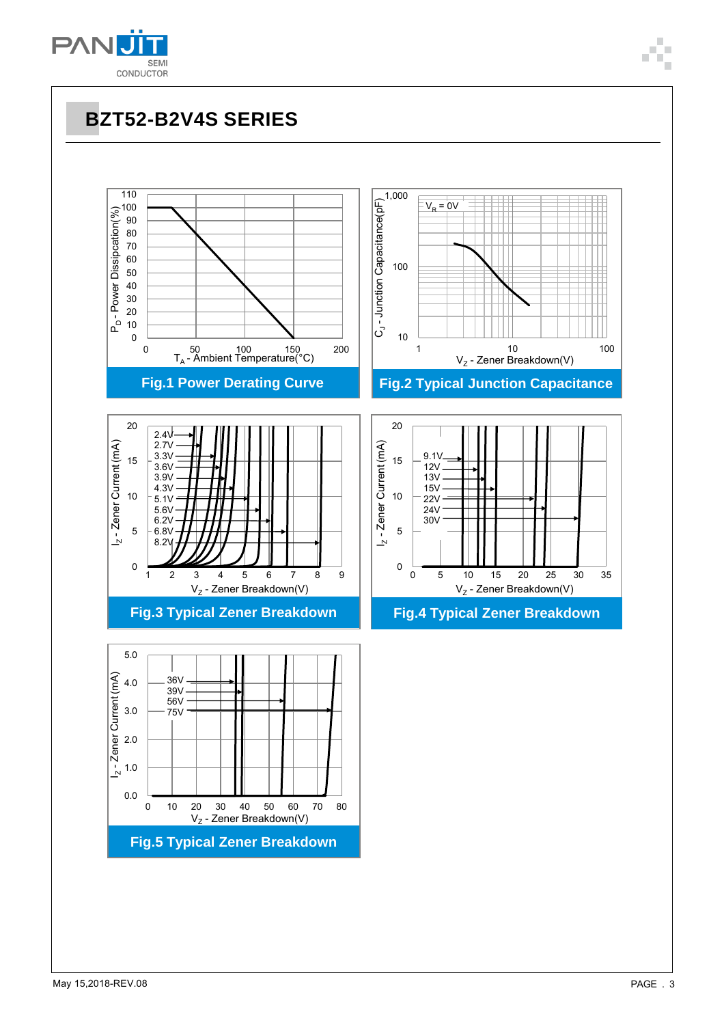

**BZT52-B2V4S SERIES**

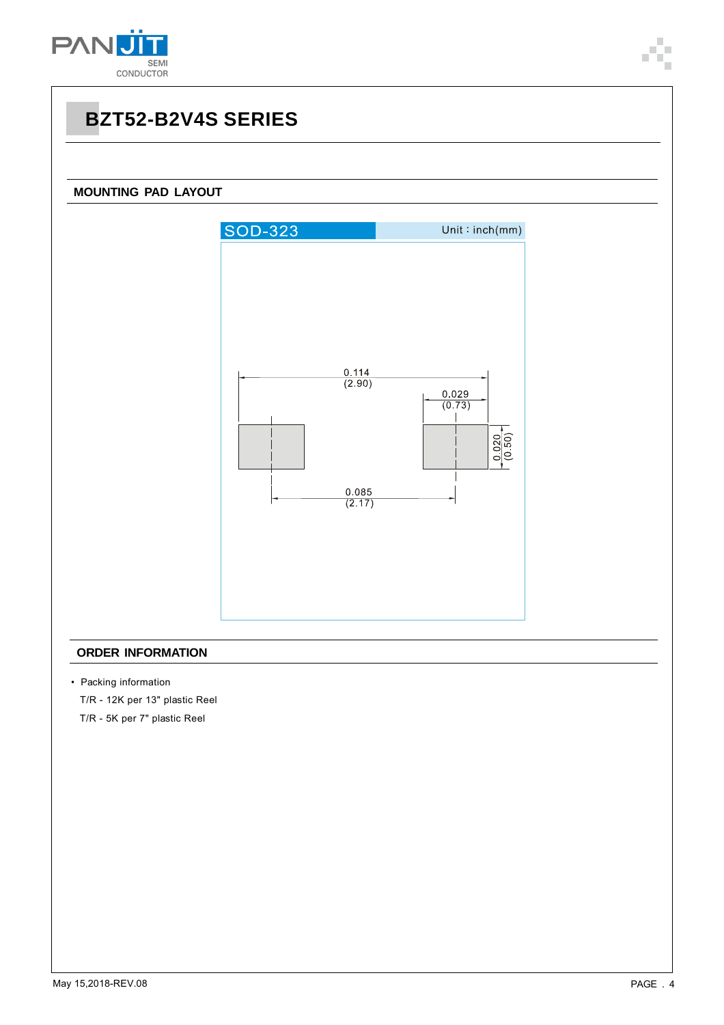

## **BZT52-B2V4S SERIES**

### **MOUNTING PAD LAYOUT**



#### **ORDER INFORMATION**

• Packing information

T/R - 12K per 13" plastic Reel

T/R - 5K per 7" plastic Reel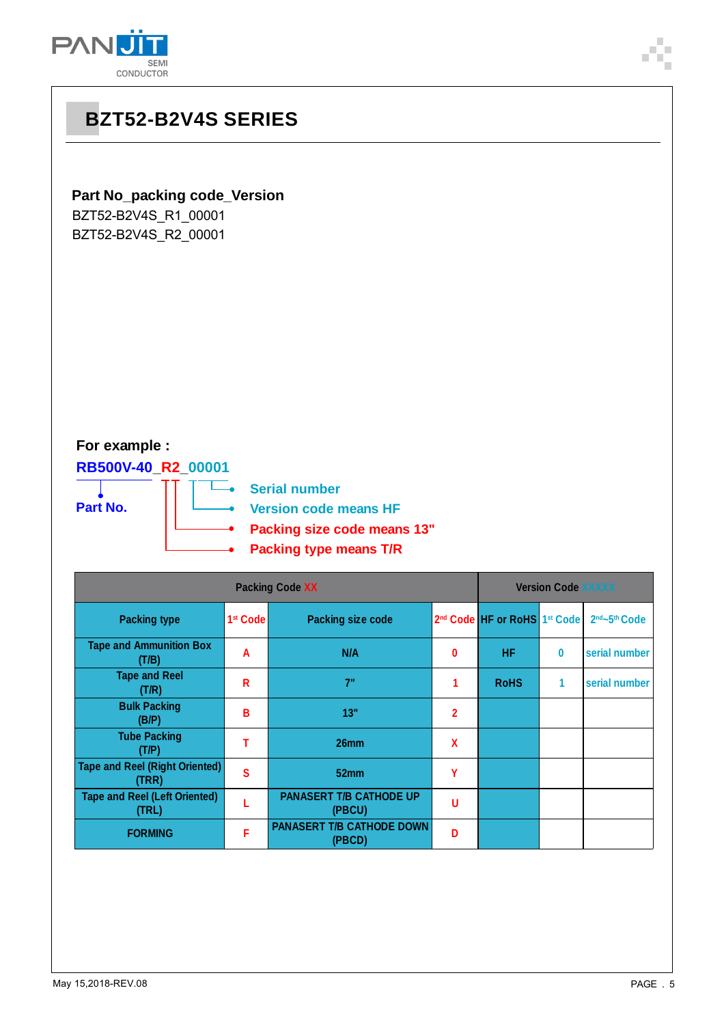



### **For example :**

**RB500V-40\_R2\_00001 Part No.**

二。<br>一 **Serial number**

т

**Version code means HF**

- **Packing size code means 13"**
- **Packing type means T/R**

| <b>Packing Code XX</b>                         |                        |                                            |              |                                                      | <b>Version Code XXXXX</b> |               |  |
|------------------------------------------------|------------------------|--------------------------------------------|--------------|------------------------------------------------------|---------------------------|---------------|--|
| <b>Packing type</b>                            | 1 <sup>st</sup> Code I | <b>Packing size code</b>                   |              | 2 <sup>nd</sup> Code HF or RoHS 1 <sup>st</sup> Code |                           | 2nd~5th Code  |  |
| <b>Tape and Ammunition Box</b><br>(T/B)        | A                      | N/A                                        | 0            | <b>HF</b>                                            | 0                         | serial number |  |
| <b>Tape and Reel</b><br>(T/R)                  | R                      | 7"                                         | 1            | <b>RoHS</b>                                          | 1                         | serial number |  |
| <b>Bulk Packing</b><br>(B/P)                   | В                      | 13"                                        | $\mathbf{2}$ |                                                      |                           |               |  |
| <b>Tube Packing</b><br>(T/P)                   |                        | 26mm                                       | X            |                                                      |                           |               |  |
| <b>Tape and Reel (Right Oriented)</b><br>(TRR) | S                      | 52mm                                       | γ            |                                                      |                           |               |  |
| <b>Tape and Reel (Left Oriented)</b><br>(TRL)  |                        | <b>PANASERT T/B CATHODE UP</b><br>(PBCU)   | U            |                                                      |                           |               |  |
| <b>FORMING</b>                                 | F                      | <b>PANASERT T/B CATHODE DOWN</b><br>(PBCD) | D            |                                                      |                           |               |  |